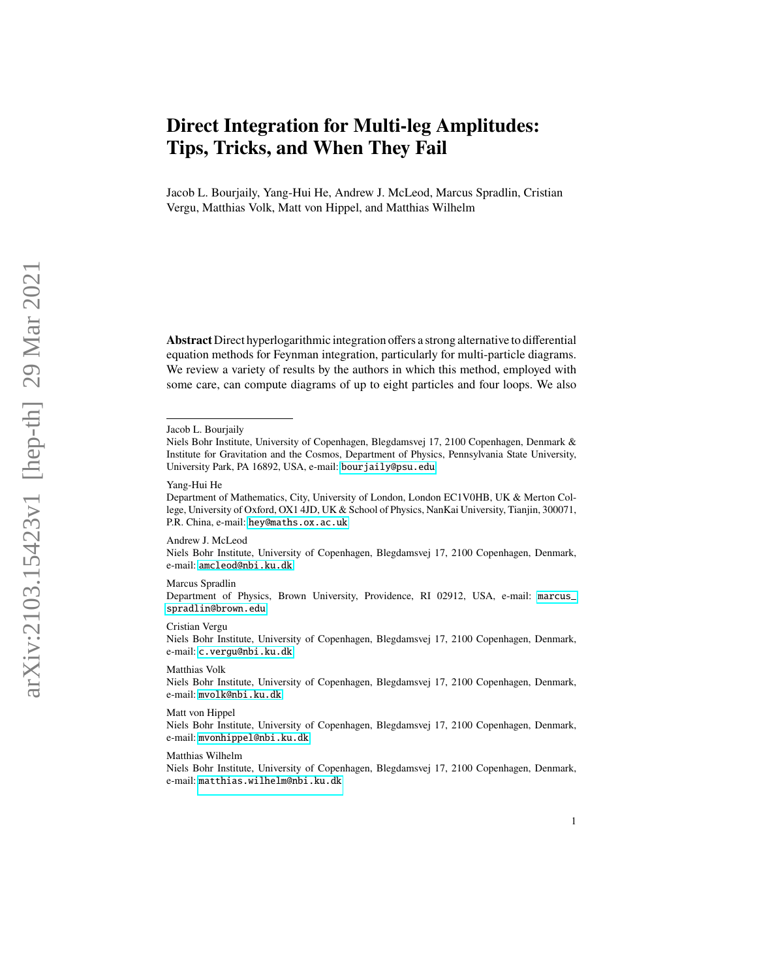# **Direct Integration for Multi-leg Amplitudes: Tips, Tricks, and When They Fail**

Jacob L. Bourjaily, Yang-Hui He, Andrew J. McLeod, Marcus Spradlin, Cristian Vergu, Matthias Volk, Matt von Hippel, and Matthias Wilhelm

**Abstract** Direct hyperlogarithmic integration offers a strong alternative to differential equation methods for Feynman integration, particularly for multi-particle diagrams. We review a variety of results by the authors in which this method, employed with some care, can compute diagrams of up to eight particles and four loops. We also

Andrew J. McLeod

Niels Bohr Institute, University of Copenhagen, Blegdamsvej 17, 2100 Copenhagen, Denmark, e-mail: <amcleod@nbi.ku.dk>

Marcus Spradlin

Department of Physics, Brown University, Providence, RI 02912, USA, e-mail: [marcus\\_](marcus_spradlin@brown.edu) [spradlin@brown.edu](marcus_spradlin@brown.edu)

Cristian Vergu

Niels Bohr Institute, University of Copenhagen, Blegdamsvej 17, 2100 Copenhagen, Denmark, e-mail: <c.vergu@nbi.ku.dk>

Matthias Volk

Niels Bohr Institute, University of Copenhagen, Blegdamsvej 17, 2100 Copenhagen, Denmark, e-mail: <mvolk@nbi.ku.dk>

Matt von Hippel

Niels Bohr Institute, University of Copenhagen, Blegdamsvej 17, 2100 Copenhagen, Denmark, e-mail: <mvonhippel@nbi.ku.dk>

#### Matthias Wilhelm

Niels Bohr Institute, University of Copenhagen, Blegdamsvej 17, 2100 Copenhagen, Denmark, e-mail: <matthias.wilhelm@nbi.ku.dk>

Jacob L. Bourjaily

Niels Bohr Institute, University of Copenhagen, Blegdamsvej 17, 2100 Copenhagen, Denmark & Institute for Gravitation and the Cosmos, Department of Physics, Pennsylvania State University, University Park, PA 16892, USA, e-mail: <bourjaily@psu.edu>

Yang-Hui He

Department of Mathematics, City, University of London, London EC1V0HB, UK & Merton College, University of Oxford, OX1 4JD, UK & School of Physics, NanKai University, Tianjin, 300071, P.R. China, e-mail: <hey@maths.ox.ac.uk>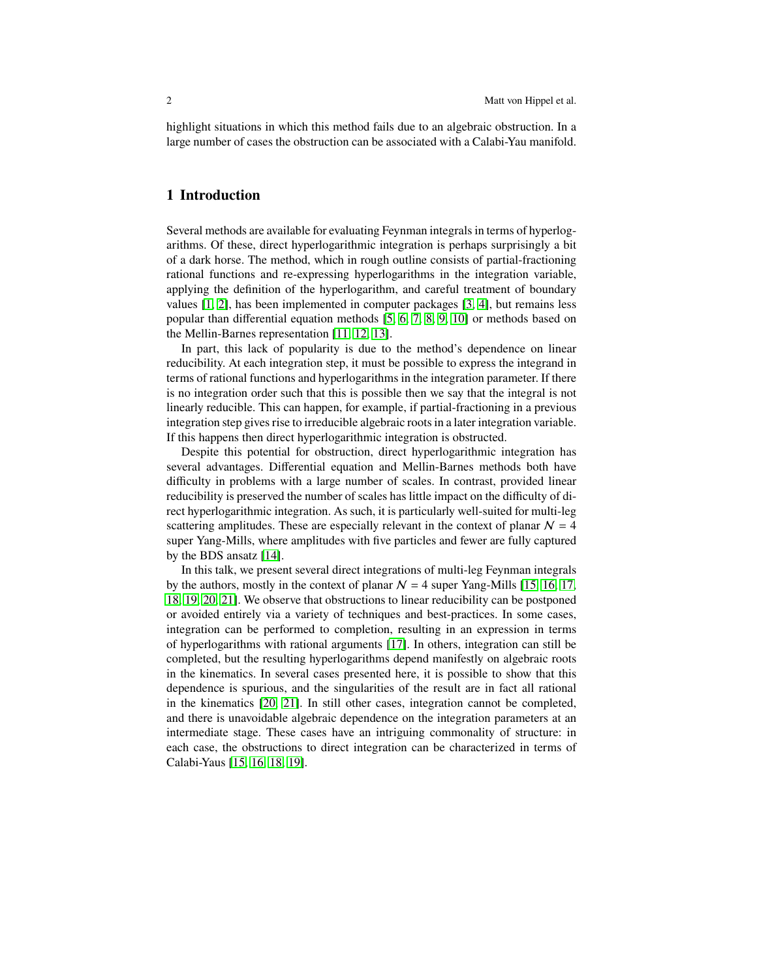highlight situations in which this method fails due to an algebraic obstruction. In a large number of cases the obstruction can be associated with a Calabi-Yau manifold.

### **1 Introduction**

Several methods are available for evaluating Feynman integrals in terms of hyperlogarithms. Of these, direct hyperlogarithmic integration is perhaps surprisingly a bit of a dark horse. The method, which in rough outline consists of partial-fractioning rational functions and re-expressing hyperlogarithms in the integration variable, applying the definition of the hyperlogarithm, and careful treatment of boundary values [\[1,](#page-13-0) [2\]](#page-13-1), has been implemented in computer packages [\[3,](#page-13-2) [4\]](#page-13-3), but remains less popular than differential equation methods [\[5,](#page-13-4) [6,](#page-13-5) [7,](#page-13-6) [8,](#page-13-7) [9,](#page-13-8) [10\]](#page-13-9) or methods based on the Mellin-Barnes representation [\[11,](#page-13-10) [12,](#page-13-11) [13\]](#page-13-12).

In part, this lack of popularity is due to the method's dependence on linear reducibility. At each integration step, it must be possible to express the integrand in terms of rational functions and hyperlogarithms in the integration parameter. If there is no integration order such that this is possible then we say that the integral is not linearly reducible. This can happen, for example, if partial-fractioning in a previous integration step gives rise to irreducible algebraic roots in a later integration variable. If this happens then direct hyperlogarithmic integration is obstructed.

Despite this potential for obstruction, direct hyperlogarithmic integration has several advantages. Differential equation and Mellin-Barnes methods both have difficulty in problems with a large number of scales. In contrast, provided linear reducibility is preserved the number of scales has little impact on the difficulty of direct hyperlogarithmic integration. As such, it is particularly well-suited for multi-leg scattering amplitudes. These are especially relevant in the context of planar  $N = 4$ super Yang-Mills, where amplitudes with five particles and fewer are fully captured by the BDS ansatz [\[14\]](#page-13-13).

In this talk, we present several direct integrations of multi-leg Feynman integrals by the authors, mostly in the context of planar  $N = 4$  super Yang-Mills [\[15,](#page-13-14) [16,](#page-13-15) [17,](#page-13-16) [18,](#page-13-17) [19,](#page-14-0) [20,](#page-14-1) [21\]](#page-14-2). We observe that obstructions to linear reducibility can be postponed or avoided entirely via a variety of techniques and best-practices. In some cases, integration can be performed to completion, resulting in an expression in terms of hyperlogarithms with rational arguments [\[17\]](#page-13-16). In others, integration can still be completed, but the resulting hyperlogarithms depend manifestly on algebraic roots in the kinematics. In several cases presented here, it is possible to show that this dependence is spurious, and the singularities of the result are in fact all rational in the kinematics [\[20,](#page-14-1) [21\]](#page-14-2). In still other cases, integration cannot be completed, and there is unavoidable algebraic dependence on the integration parameters at an intermediate stage. These cases have an intriguing commonality of structure: in each case, the obstructions to direct integration can be characterized in terms of Calabi-Yaus [\[15,](#page-13-14) [16,](#page-13-15) [18,](#page-13-17) [19\]](#page-14-0).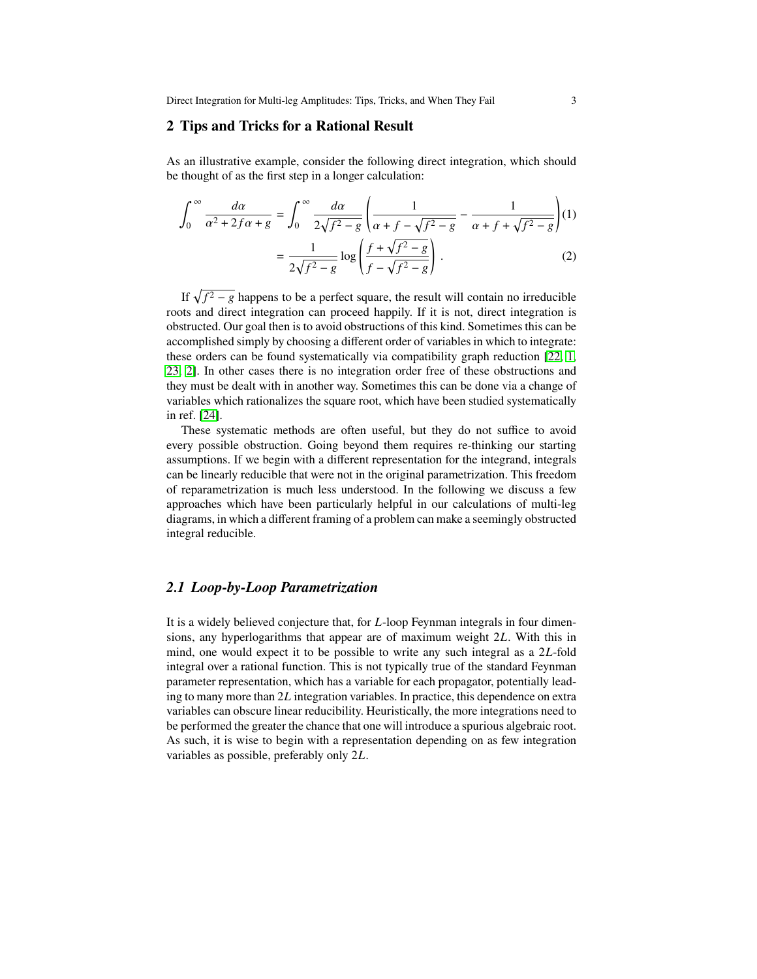Direct Integration for Multi-leg Amplitudes: Tips, Tricks, and When They Fail 3

# <span id="page-2-0"></span>**2 Tips and Tricks for a Rational Result**

As an illustrative example, consider the following direct integration, which should be thought of as the first step in a longer calculation:

$$
\int_0^\infty \frac{d\alpha}{\alpha^2 + 2f\alpha + g} = \int_0^\infty \frac{d\alpha}{2\sqrt{f^2 - g}} \left( \frac{1}{\alpha + f - \sqrt{f^2 - g}} - \frac{1}{\alpha + f + \sqrt{f^2 - g}} \right) (1)
$$

$$
= \frac{1}{2\sqrt{f^2 - g}} \log \left( \frac{f + \sqrt{f^2 - g}}{f - \sqrt{f^2 - g}} \right). \tag{2}
$$

If  $\sqrt{f^2 - g}$  happens to be a perfect square, the result will contain no irreducible roots and direct integration can proceed happily. If it is not, direct integration is obstructed. Our goal then is to avoid obstructions of this kind. Sometimes this can be accomplished simply by choosing a different order of variables in which to integrate: these orders can be found systematically via compatibility graph reduction [\[22,](#page-14-3) [1,](#page-13-0) [23,](#page-14-4) [2\]](#page-13-1). In other cases there is no integration order free of these obstructions and they must be dealt with in another way. Sometimes this can be done via a change of variables which rationalizes the square root, which have been studied systematically in ref. [\[24\]](#page-14-5).

These systematic methods are often useful, but they do not suffice to avoid every possible obstruction. Going beyond them requires re-thinking our starting assumptions. If we begin with a different representation for the integrand, integrals can be linearly reducible that were not in the original parametrization. This freedom of reparametrization is much less understood. In the following we discuss a few approaches which have been particularly helpful in our calculations of multi-leg diagrams, in which a different framing of a problem can make a seemingly obstructed integral reducible.

### <span id="page-2-1"></span>*2.1 Loop-by-Loop Parametrization*

It is a widely believed conjecture that, for *L*-loop Feynman integrals in four dimensions, any hyperlogarithms that appear are of maximum weight 2L. With this in mind, one would expect it to be possible to write any such integral as a  $2L$ -fold integral over a rational function. This is not typically true of the standard Feynman parameter representation, which has a variable for each propagator, potentially leading to many more than  $2L$  integration variables. In practice, this dependence on extra variables can obscure linear reducibility. Heuristically, the more integrations need to be performed the greater the chance that one will introduce a spurious algebraic root. As such, it is wise to begin with a representation depending on as few integration variables as possible, preferably only  $2L$ .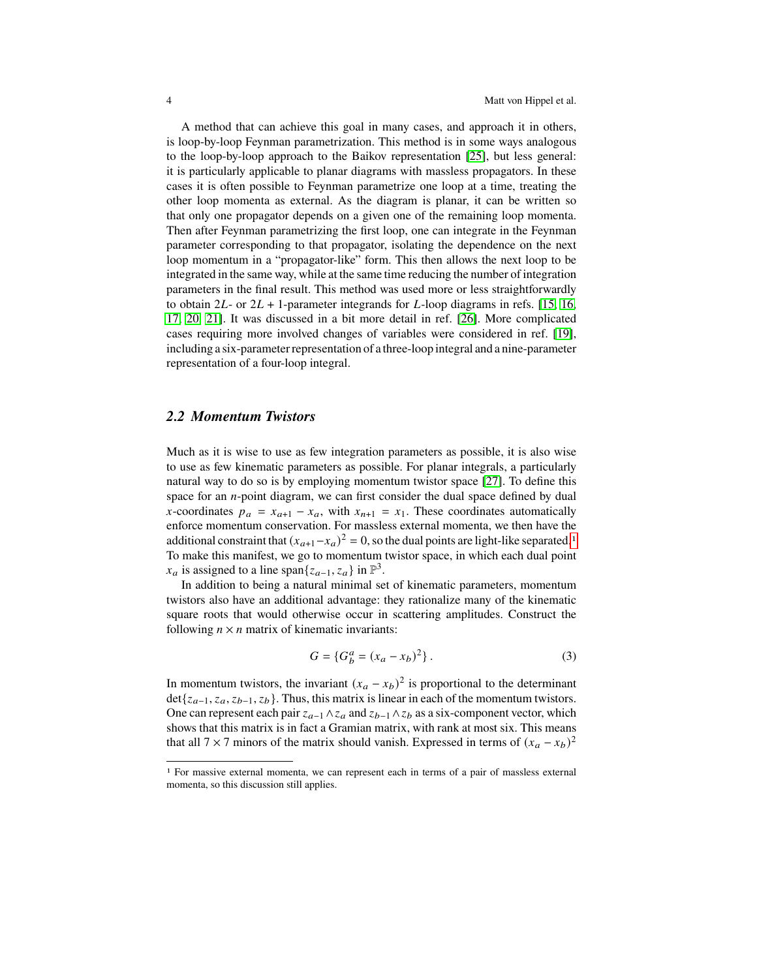A method that can achieve this goal in many cases, and approach it in others, is loop-by-loop Feynman parametrization. This method is in some ways analogous to the loop-by-loop approach to the Baikov representation [\[25\]](#page-14-6), but less general: it is particularly applicable to planar diagrams with massless propagators. In these cases it is often possible to Feynman parametrize one loop at a time, treating the other loop momenta as external. As the diagram is planar, it can be written so that only one propagator depends on a given one of the remaining loop momenta. Then after Feynman parametrizing the first loop, one can integrate in the Feynman parameter corresponding to that propagator, isolating the dependence on the next loop momentum in a "propagator-like" form. This then allows the next loop to be integrated in the same way, while at the same time reducing the number of integration parameters in the final result. This method was used more or less straightforwardly to obtain  $2L$ - or  $2L + 1$ -parameter integrands for L-loop diagrams in refs. [\[15,](#page-13-14) [16,](#page-13-15) [17,](#page-13-16) [20,](#page-14-1) [21\]](#page-14-2). It was discussed in a bit more detail in ref. [\[26\]](#page-14-7). More complicated cases requiring more involved changes of variables were considered in ref. [\[19\]](#page-14-0), including a six-parameter representation of a three-loop integral and a nine-parameter representation of a four-loop integral.

### *2.2 Momentum Twistors*

Much as it is wise to use as few integration parameters as possible, it is also wise to use as few kinematic parameters as possible. For planar integrals, a particularly natural way to do so is by employing momentum twistor space [\[27\]](#page-14-8). To define this space for an  $n$ -point diagram, we can first consider the dual space defined by dual x-coordinates  $p_a = x_{a+1} - x_a$ , with  $x_{n+1} = x_1$ . These coordinates automatically enforce momentum conservation. For massless external momenta, we then have the additional constraint that  $(x_{a+1}-x_a)^2 = 0$  $(x_{a+1}-x_a)^2 = 0$  $(x_{a+1}-x_a)^2 = 0$ , so the dual points are light-like separated.<sup>1</sup> To make this manifest, we go to momentum twistor space, in which each dual point  $x_a$  is assigned to a line span $\{z_{a-1}, z_a\}$  in  $\mathbb{P}^3$ .

In addition to being a natural minimal set of kinematic parameters, momentum twistors also have an additional advantage: they rationalize many of the kinematic square roots that would otherwise occur in scattering amplitudes. Construct the following  $n \times n$  matrix of kinematic invariants:

$$
G = \{ G_b^a = (x_a - x_b)^2 \}.
$$
 (3)

In momentum twistors, the invariant  $(x_a - x_b)^2$  is proportional to the determinant det{ $z_{a-1}, z_a, z_{b-1}, z_b$ }. Thus, this matrix is linear in each of the momentum twistors. One can represent each pair  $z_{a-1} \wedge z_a$  and  $z_{b-1} \wedge z_b$  as a six-component vector, which shows that this matrix is in fact a Gramian matrix, with rank at most six. This means that all 7 × 7 minors of the matrix should vanish. Expressed in terms of  $(x_a - x_b)^2$ 

<span id="page-3-0"></span><sup>1</sup> For massive external momenta, we can represent each in terms of a pair of massless external momenta, so this discussion still applies.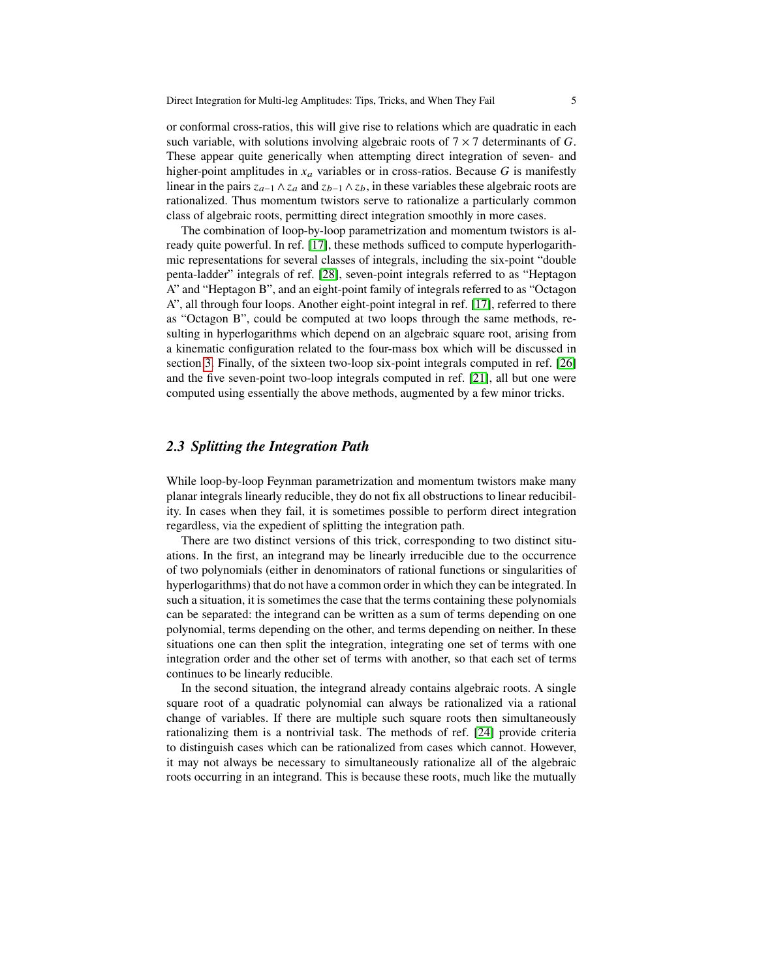or conformal cross-ratios, this will give rise to relations which are quadratic in each such variable, with solutions involving algebraic roots of  $7 \times 7$  determinants of G. These appear quite generically when attempting direct integration of seven- and higher-point amplitudes in  $x_a$  variables or in cross-ratios. Because G is manifestly linear in the pairs  $z_{a-1} \wedge z_a$  and  $z_{b-1} \wedge z_b$ , in these variables these algebraic roots are rationalized. Thus momentum twistors serve to rationalize a particularly common class of algebraic roots, permitting direct integration smoothly in more cases.

The combination of loop-by-loop parametrization and momentum twistors is already quite powerful. In ref. [\[17\]](#page-13-16), these methods sufficed to compute hyperlogarithmic representations for several classes of integrals, including the six-point "double penta-ladder" integrals of ref. [\[28\]](#page-14-9), seven-point integrals referred to as "Heptagon A" and "Heptagon B", and an eight-point family of integrals referred to as "Octagon A", all through four loops. Another eight-point integral in ref. [\[17\]](#page-13-16), referred to there as "Octagon B", could be computed at two loops through the same methods, resulting in hyperlogarithms which depend on an algebraic square root, arising from a kinematic configuration related to the four-mass box which will be discussed in section [3.](#page-5-0) Finally, of the sixteen two-loop six-point integrals computed in ref. [\[26\]](#page-14-7) and the five seven-point two-loop integrals computed in ref. [\[21\]](#page-14-2), all but one were computed using essentially the above methods, augmented by a few minor tricks.

# *2.3 Splitting the Integration Path*

While loop-by-loop Feynman parametrization and momentum twistors make many planar integrals linearly reducible, they do not fix all obstructions to linear reducibility. In cases when they fail, it is sometimes possible to perform direct integration regardless, via the expedient of splitting the integration path.

There are two distinct versions of this trick, corresponding to two distinct situations. In the first, an integrand may be linearly irreducible due to the occurrence of two polynomials (either in denominators of rational functions or singularities of hyperlogarithms) that do not have a common order in which they can be integrated. In such a situation, it is sometimes the case that the terms containing these polynomials can be separated: the integrand can be written as a sum of terms depending on one polynomial, terms depending on the other, and terms depending on neither. In these situations one can then split the integration, integrating one set of terms with one integration order and the other set of terms with another, so that each set of terms continues to be linearly reducible.

In the second situation, the integrand already contains algebraic roots. A single square root of a quadratic polynomial can always be rationalized via a rational change of variables. If there are multiple such square roots then simultaneously rationalizing them is a nontrivial task. The methods of ref. [\[24\]](#page-14-5) provide criteria to distinguish cases which can be rationalized from cases which cannot. However, it may not always be necessary to simultaneously rationalize all of the algebraic roots occurring in an integrand. This is because these roots, much like the mutually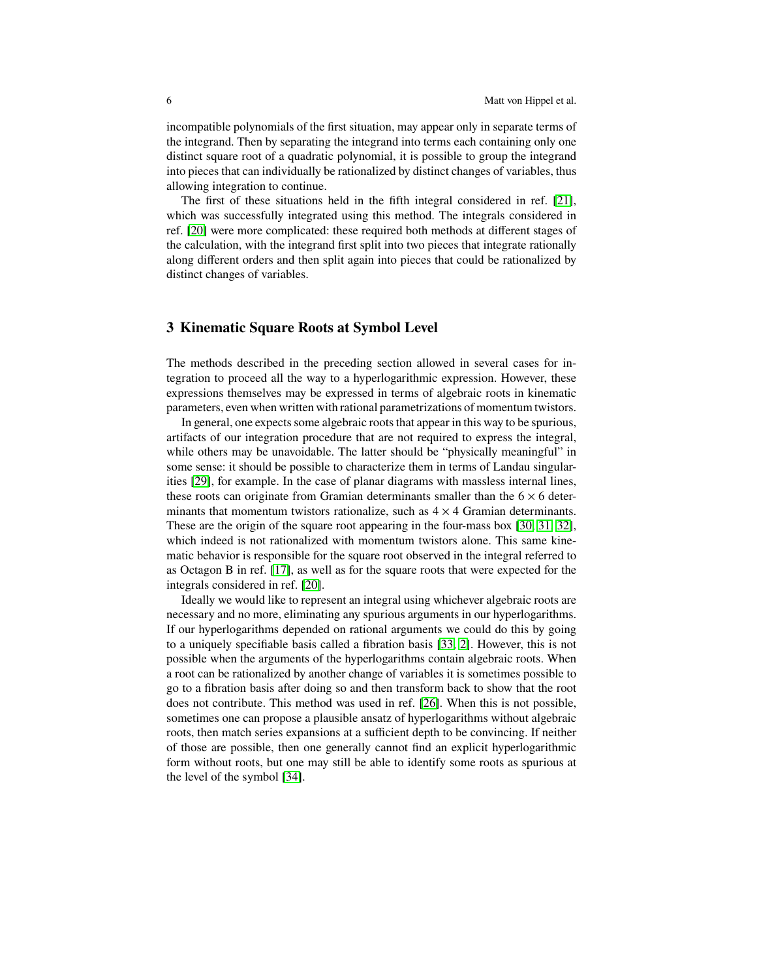incompatible polynomials of the first situation, may appear only in separate terms of the integrand. Then by separating the integrand into terms each containing only one distinct square root of a quadratic polynomial, it is possible to group the integrand into pieces that can individually be rationalized by distinct changes of variables, thus allowing integration to continue.

The first of these situations held in the fifth integral considered in ref. [\[21\]](#page-14-2), which was successfully integrated using this method. The integrals considered in ref. [\[20\]](#page-14-1) were more complicated: these required both methods at different stages of the calculation, with the integrand first split into two pieces that integrate rationally along different orders and then split again into pieces that could be rationalized by distinct changes of variables.

### <span id="page-5-0"></span>**3 Kinematic Square Roots at Symbol Level**

The methods described in the preceding section allowed in several cases for integration to proceed all the way to a hyperlogarithmic expression. However, these expressions themselves may be expressed in terms of algebraic roots in kinematic parameters, even when written with rational parametrizations of momentum twistors.

In general, one expects some algebraic roots that appear in this way to be spurious, artifacts of our integration procedure that are not required to express the integral, while others may be unavoidable. The latter should be "physically meaningful" in some sense: it should be possible to characterize them in terms of Landau singularities [\[29\]](#page-14-10), for example. In the case of planar diagrams with massless internal lines, these roots can originate from Gramian determinants smaller than the  $6 \times 6$  determinants that momentum twistors rationalize, such as  $4 \times 4$  Gramian determinants. These are the origin of the square root appearing in the four-mass box [\[30,](#page-14-11) [31,](#page-14-12) [32\]](#page-14-13), which indeed is not rationalized with momentum twistors alone. This same kinematic behavior is responsible for the square root observed in the integral referred to as Octagon B in ref. [\[17\]](#page-13-16), as well as for the square roots that were expected for the integrals considered in ref. [\[20\]](#page-14-1).

Ideally we would like to represent an integral using whichever algebraic roots are necessary and no more, eliminating any spurious arguments in our hyperlogarithms. If our hyperlogarithms depended on rational arguments we could do this by going to a uniquely specifiable basis called a fibration basis [\[33,](#page-14-14) [2\]](#page-13-1). However, this is not possible when the arguments of the hyperlogarithms contain algebraic roots. When a root can be rationalized by another change of variables it is sometimes possible to go to a fibration basis after doing so and then transform back to show that the root does not contribute. This method was used in ref. [\[26\]](#page-14-7). When this is not possible, sometimes one can propose a plausible ansatz of hyperlogarithms without algebraic roots, then match series expansions at a sufficient depth to be convincing. If neither of those are possible, then one generally cannot find an explicit hyperlogarithmic form without roots, but one may still be able to identify some roots as spurious at the level of the symbol [\[34\]](#page-14-15).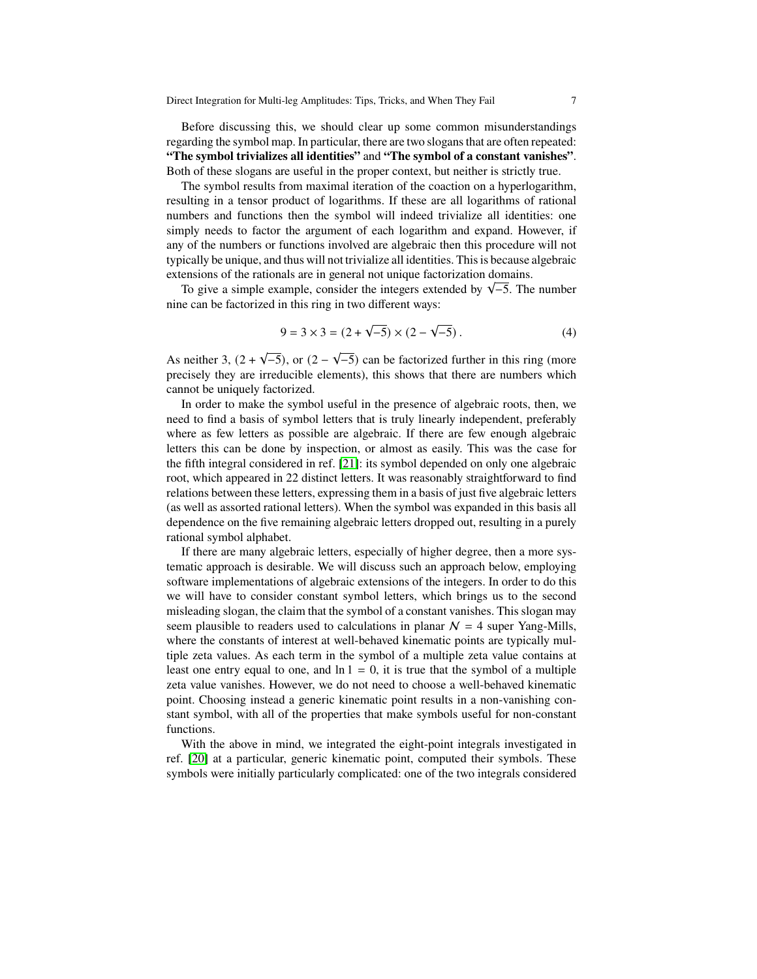Before discussing this, we should clear up some common misunderstandings regarding the symbol map. In particular, there are two slogans that are often repeated: **"The symbol trivializes all identities"** and **"The symbol of a constant vanishes"**. Both of these slogans are useful in the proper context, but neither is strictly true.

The symbol results from maximal iteration of the coaction on a hyperlogarithm, resulting in a tensor product of logarithms. If these are all logarithms of rational numbers and functions then the symbol will indeed trivialize all identities: one simply needs to factor the argument of each logarithm and expand. However, if any of the numbers or functions involved are algebraic then this procedure will not typically be unique, and thus will not trivialize all identities. This is because algebraic extensions of the rationals are in general not unique factorization domains.

ensions of the rationals are in general not unique factorization domains.<br>To give a simple example, consider the integers extended by  $\sqrt{-5}$ . The number nine can be factorized in this ring in two different ways:

<span id="page-6-0"></span>
$$
9 = 3 \times 3 = (2 + \sqrt{-5}) \times (2 - \sqrt{-5}).
$$
 (4)

As neither  $3, (2 +$ √  $(-5)$ , or  $(2 -$ √ −5) can be factorized further in this ring (more precisely they are irreducible elements), this shows that there are numbers which cannot be uniquely factorized.

In order to make the symbol useful in the presence of algebraic roots, then, we need to find a basis of symbol letters that is truly linearly independent, preferably where as few letters as possible are algebraic. If there are few enough algebraic letters this can be done by inspection, or almost as easily. This was the case for the fifth integral considered in ref. [\[21\]](#page-14-2): its symbol depended on only one algebraic root, which appeared in 22 distinct letters. It was reasonably straightforward to find relations between these letters, expressing them in a basis of just five algebraic letters (as well as assorted rational letters). When the symbol was expanded in this basis all dependence on the five remaining algebraic letters dropped out, resulting in a purely rational symbol alphabet.

If there are many algebraic letters, especially of higher degree, then a more systematic approach is desirable. We will discuss such an approach below, employing software implementations of algebraic extensions of the integers. In order to do this we will have to consider constant symbol letters, which brings us to the second misleading slogan, the claim that the symbol of a constant vanishes. This slogan may seem plausible to readers used to calculations in planar  $N = 4$  super Yang-Mills, where the constants of interest at well-behaved kinematic points are typically multiple zeta values. As each term in the symbol of a multiple zeta value contains at least one entry equal to one, and  $\ln 1 = 0$ , it is true that the symbol of a multiple zeta value vanishes. However, we do not need to choose a well-behaved kinematic point. Choosing instead a generic kinematic point results in a non-vanishing constant symbol, with all of the properties that make symbols useful for non-constant functions.

With the above in mind, we integrated the eight-point integrals investigated in ref. [\[20\]](#page-14-1) at a particular, generic kinematic point, computed their symbols. These symbols were initially particularly complicated: one of the two integrals considered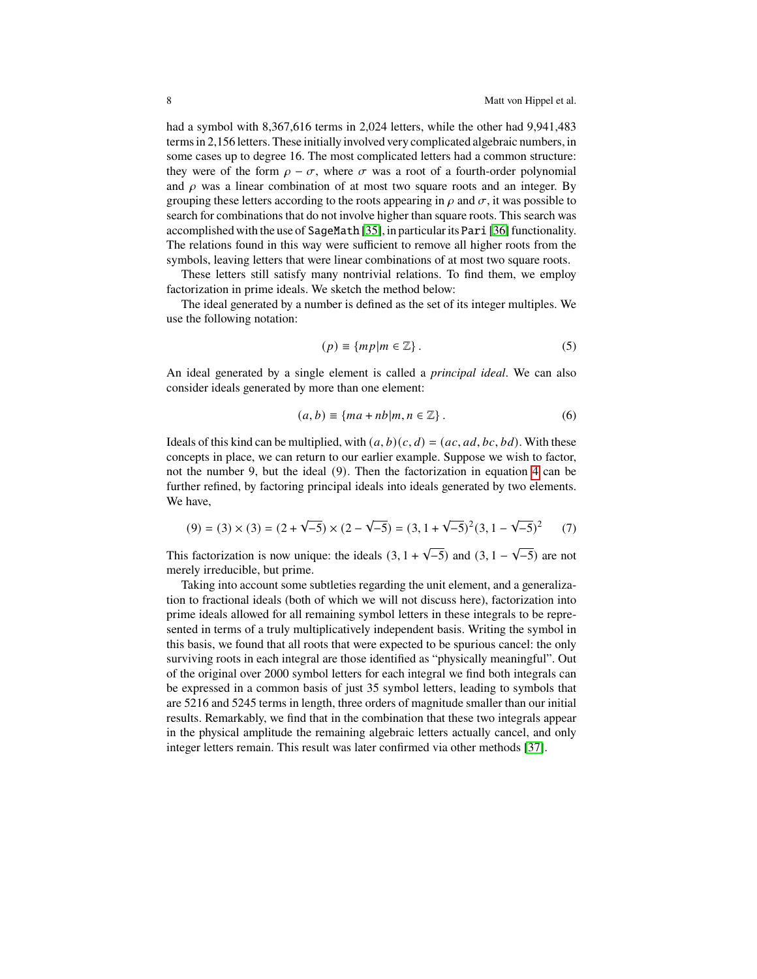had a symbol with 8,367,616 terms in 2,024 letters, while the other had 9,941,483 terms in 2,156 letters. These initially involved very complicated algebraic numbers, in some cases up to degree 16. The most complicated letters had a common structure: they were of the form  $\rho - \sigma$ , where  $\sigma$  was a root of a fourth-order polynomial and  $\rho$  was a linear combination of at most two square roots and an integer. By grouping these letters according to the roots appearing in  $\rho$  and  $\sigma$ , it was possible to search for combinations that do not involve higher than square roots. This search was accomplished with the use of SageMath [\[35\]](#page-14-16), in particular its Pari [\[36\]](#page-14-17) functionality. The relations found in this way were sufficient to remove all higher roots from the symbols, leaving letters that were linear combinations of at most two square roots.

These letters still satisfy many nontrivial relations. To find them, we employ factorization in prime ideals. We sketch the method below:

The ideal generated by a number is defined as the set of its integer multiples. We use the following notation:

$$
(p) \equiv \{mp \mid m \in \mathbb{Z}\} \,.
$$

An ideal generated by a single element is called a *principal ideal*. We can also consider ideals generated by more than one element:

$$
(a, b) \equiv \{ma + nb|m, n \in \mathbb{Z}\}.
$$
 (6)

Ideals of this kind can be multiplied, with  $(a, b)(c, d) = (ac, ad, bc, bd)$ . With these concepts in place, we can return to our earlier example. Suppose we wish to factor, not the number 9, but the ideal (9). Then the factorization in equation [4](#page-6-0) can be further refined, by factoring principal ideals into ideals generated by two elements. We have,

$$
(9) = (3) \times (3) = (2 + \sqrt{-5}) \times (2 - \sqrt{-5}) = (3, 1 + \sqrt{-5})^2 (3, 1 - \sqrt{-5})^2 \tag{7}
$$

This factorization is now unique: the ideals  $(3, 1 + \sqrt{-5})$  and  $(3, 1 - \sqrt{5})$  $\overline{-5}$ ) are not merely irreducible, but prime.

Taking into account some subtleties regarding the unit element, and a generalization to fractional ideals (both of which we will not discuss here), factorization into prime ideals allowed for all remaining symbol letters in these integrals to be represented in terms of a truly multiplicatively independent basis. Writing the symbol in this basis, we found that all roots that were expected to be spurious cancel: the only surviving roots in each integral are those identified as "physically meaningful". Out of the original over 2000 symbol letters for each integral we find both integrals can be expressed in a common basis of just 35 symbol letters, leading to symbols that are 5216 and 5245 terms in length, three orders of magnitude smaller than our initial results. Remarkably, we find that in the combination that these two integrals appear in the physical amplitude the remaining algebraic letters actually cancel, and only integer letters remain. This result was later confirmed via other methods [\[37\]](#page-14-18).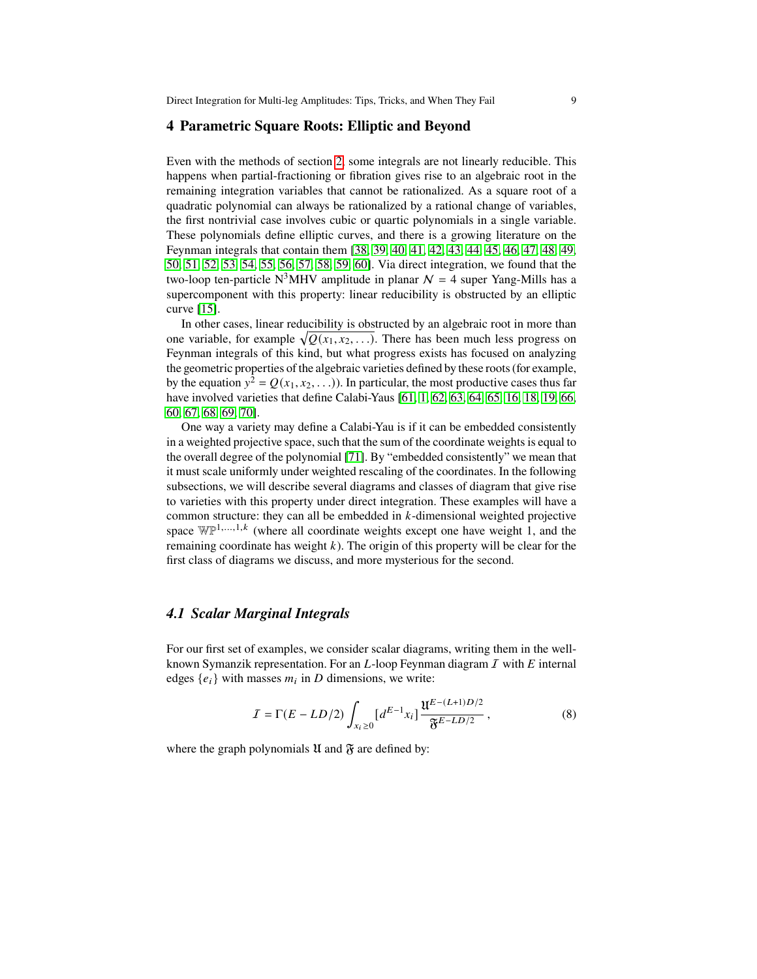#### **4 Parametric Square Roots: Elliptic and Beyond**

Even with the methods of section [2,](#page-2-0) some integrals are not linearly reducible. This happens when partial-fractioning or fibration gives rise to an algebraic root in the remaining integration variables that cannot be rationalized. As a square root of a quadratic polynomial can always be rationalized by a rational change of variables, the first nontrivial case involves cubic or quartic polynomials in a single variable. These polynomials define elliptic curves, and there is a growing literature on the Feynman integrals that contain them [\[38,](#page-14-19) [39,](#page-14-20) [40,](#page-14-21) [41,](#page-14-22) [42,](#page-14-23) [43,](#page-14-24) [44,](#page-14-25) [45,](#page-14-26) [46,](#page-14-27) [47,](#page-14-28) [48,](#page-14-29) [49,](#page-14-30) [50,](#page-15-0) [51,](#page-15-1) [52,](#page-15-2) [53,](#page-15-3) [54,](#page-15-4) [55,](#page-15-5) [56,](#page-15-6) [57,](#page-15-7) [58,](#page-15-8) [59,](#page-15-9) [60\]](#page-15-10). Via direct integration, we found that the two-loop ten-particle N<sup>3</sup>MHV amplitude in planar  $\mathcal{N} = 4$  super Yang-Mills has a supercomponent with this property: linear reducibility is obstructed by an elliptic curve [\[15\]](#page-13-14).

In other cases, linear reducibility is obstructed by an algebraic root in more than one variable, for example  $\sqrt{Q(x_1, x_2, \ldots)}$ . There has been much less progress on Feynman integrals of this kind, but what progress exists has focused on analyzing the geometric properties of the algebraic varieties defined by these roots (for example, by the equation  $y^2 = Q(x_1, x_2, ...)$ . In particular, the most productive cases thus far have involved varieties that define Calabi-Yaus [\[61,](#page-15-11) [1,](#page-13-0) [62,](#page-15-12) [63,](#page-15-13) [64,](#page-15-14) [65,](#page-15-15) [16,](#page-13-15) [18,](#page-13-17) [19,](#page-14-0) [66,](#page-15-16) [60,](#page-15-10) [67,](#page-15-17) [68,](#page-15-18) [69,](#page-15-19) [70\]](#page-15-20).

One way a variety may define a Calabi-Yau is if it can be embedded consistently in a weighted projective space, such that the sum of the coordinate weights is equal to the overall degree of the polynomial [\[71\]](#page-15-21). By "embedded consistently" we mean that it must scale uniformly under weighted rescaling of the coordinates. In the following subsections, we will describe several diagrams and classes of diagram that give rise to varieties with this property under direct integration. These examples will have a common structure: they can all be embedded in  $k$ -dimensional weighted projective space  $\mathbb{WP}^{1,\ldots,1,k}$  (where all coordinate weights except one have weight 1, and the remaining coordinate has weight  $k$ ). The origin of this property will be clear for the first class of diagrams we discuss, and more mysterious for the second.

#### *4.1 Scalar Marginal Integrals*

For our first set of examples, we consider scalar diagrams, writing them in the wellknown Symanzik representation. For an  $L$ -loop Feynman diagram  $I$  with  $E$  internal edges  $\{e_i\}$  with masses  $m_i$  in D dimensions, we write:

$$
I = \Gamma(E - LD/2) \int_{x_i \ge 0} [d^{E-1}x_i] \frac{\mathfrak{U}^{E-(L+1)D/2}}{\mathfrak{F}^{E-LD/2}},
$$
 (8)

where the graph polynomials  $\mathfrak U$  and  $\mathfrak F$  are defined by: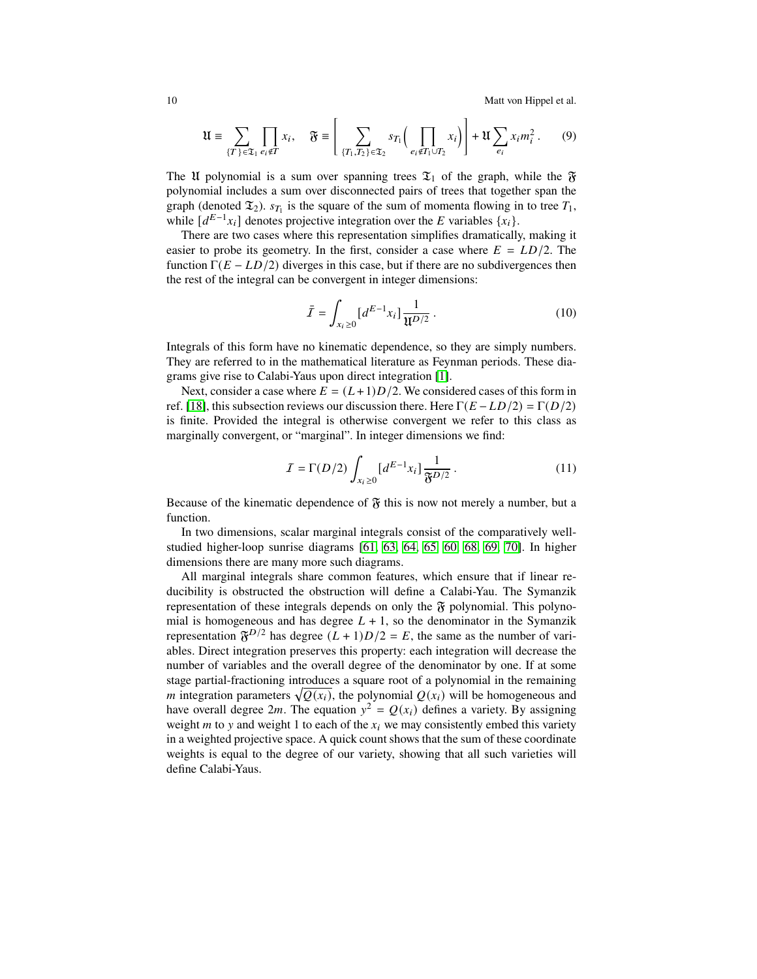10 Matt von Hippel et al.

$$
\mathfrak{U} \equiv \sum_{\{T\} \in \mathfrak{T}_1} \prod_{e_i \notin T} x_i, \quad \mathfrak{F} \equiv \left[ \sum_{\{T_1, T_2\} \in \mathfrak{T}_2} s_{T_1} \left( \prod_{e_i \notin T_1 \cup T_2} x_i \right) \right] + \mathfrak{U} \sum_{e_i} x_i m_i^2. \tag{9}
$$

The U polynomial is a sum over spanning trees  $\mathfrak{T}_1$  of the graph, while the  $\mathfrak{F}$ polynomial includes a sum over disconnected pairs of trees that together span the graph (denoted  $\mathfrak{T}_2$ ).  $s_{T_1}$  is the square of the sum of momenta flowing in to tree  $T_1$ , while  $[d^{E-1}x_i]$  denotes projective integration over the E variables  $\{x_i\}$ .

There are two cases where this representation simplifies dramatically, making it easier to probe its geometry. In the first, consider a case where  $E = LD/2$ . The function  $\Gamma(E - LD/2)$  diverges in this case, but if there are no subdivergences then the rest of the integral can be convergent in integer dimensions:

$$
\bar{I} = \int_{x_i \ge 0} [d^{E-1}x_i] \frac{1}{\mathfrak{U}^{D/2}}.
$$
 (10)

Integrals of this form have no kinematic dependence, so they are simply numbers. They are referred to in the mathematical literature as Feynman periods. These diagrams give rise to Calabi-Yaus upon direct integration [\[1\]](#page-13-0).

Next, consider a case where  $E = (L+1)D/2$ . We considered cases of this form in ref. [\[18\]](#page-13-17), this subsection reviews our discussion there. Here  $\Gamma(E - LD/2) = \Gamma(D/2)$ is finite. Provided the integral is otherwise convergent we refer to this class as marginally convergent, or "marginal". In integer dimensions we find:

$$
I = \Gamma(D/2) \int_{x_i \ge 0} \left[ d^{E-1} x_i \right] \frac{1}{\mathfrak{F}^{D/2}} \,. \tag{11}
$$

Because of the kinematic dependence of  $\mathfrak F$  this is now not merely a number, but a function.

In two dimensions, scalar marginal integrals consist of the comparatively wellstudied higher-loop sunrise diagrams [\[61,](#page-15-11) [63,](#page-15-13) [64,](#page-15-14) [65,](#page-15-15) [60,](#page-15-10) [68,](#page-15-18) [69,](#page-15-19) [70\]](#page-15-20). In higher dimensions there are many more such diagrams.

All marginal integrals share common features, which ensure that if linear reducibility is obstructed the obstruction will define a Calabi-Yau. The Symanzik representation of these integrals depends on only the  $\mathfrak F$  polynomial. This polynomial is homogeneous and has degree  $L + 1$ , so the denominator in the Symanzik representation  $\mathfrak{F}^{D/2}$  has degree  $(L+1)D/2 = E$ , the same as the number of variables. Direct integration preserves this property: each integration will decrease the number of variables and the overall degree of the denominator by one. If at some stage partial-fractioning introduces a square root of a polynomial in the remaining *m* integration parameters  $\sqrt{Q(x_i)}$ , the polynomial  $Q(x_i)$  will be homogeneous and have overall degree 2*m*. The equation  $y^2 = Q(x_i)$  defines a variety. By assigning weight  $m$  to  $y$  and weight 1 to each of the  $x_i$  we may consistently embed this variety in a weighted projective space. A quick count shows that the sum of these coordinate weights is equal to the degree of our variety, showing that all such varieties will define Calabi-Yaus.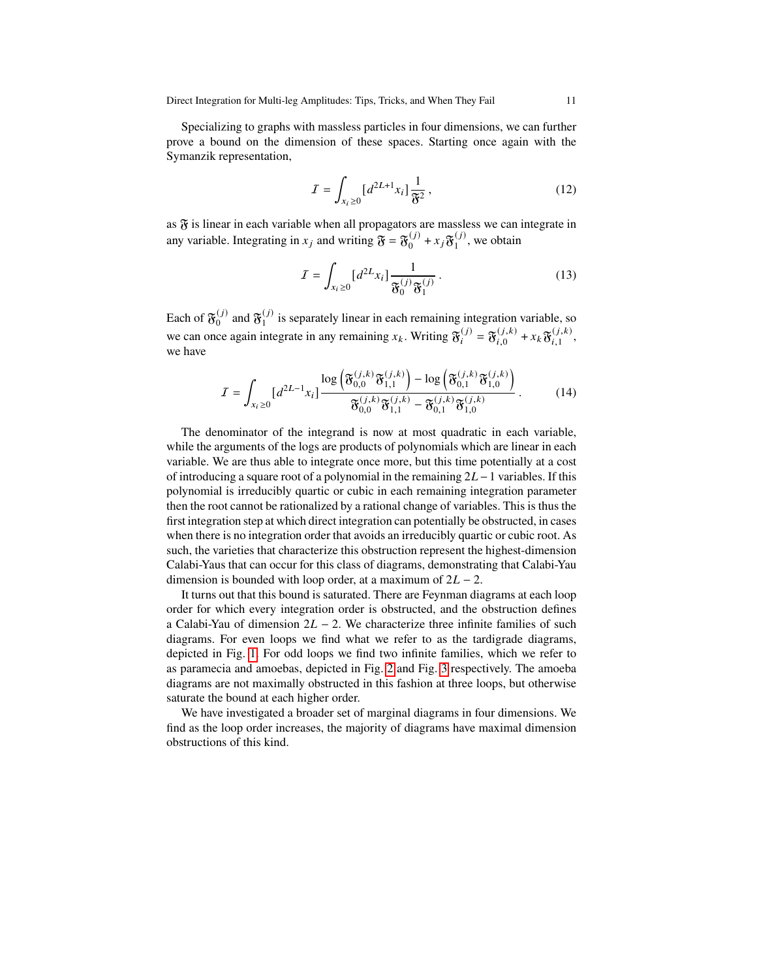Specializing to graphs with massless particles in four dimensions, we can further prove a bound on the dimension of these spaces. Starting once again with the Symanzik representation,

$$
I = \int_{x_i \ge 0} \left[ d^{2L+1} x_i \right] \frac{1}{\mathfrak{F}^2},\tag{12}
$$

as  $\mathfrak F$  is linear in each variable when all propagators are massless we can integrate in any variable. Integrating in  $x_j$  and writing  $\mathfrak{F} = \mathfrak{F}_0^{(j)} + x_j \mathfrak{F}_1^{(j)}$  $_1^{(J)}$ , we obtain

<span id="page-10-0"></span>
$$
I = \int_{x_i \ge 0} \left[ d^{2L} x_i \right] \frac{1}{\mathfrak{F}_0^{(j)} \mathfrak{F}_1^{(j)}}.
$$
 (13)

Each of  $\mathfrak{F}_0^{(j)}$  $\mathfrak{F}_0^{(j)}$  and  $\mathfrak{F}_1^{(j)}$  $\frac{1}{1}$  is separately linear in each remaining integration variable, so we can once again integrate in any remaining  $x_k$ . Writing  $\mathfrak{F}_i^{(j)} = \mathfrak{F}_{i,0}^{(j,k)} + x_k \mathfrak{F}_{i,1}^{(j,k)}$  $_{i,1}^{\left( J,\kappa \right) },$ we have

$$
I = \int_{x_i \ge 0} [d^{2L-1}x_i] \frac{\log \left( \mathfrak{F}_{0,0}^{(j,k)} \mathfrak{F}_{1,1}^{(j,k)} \right) - \log \left( \mathfrak{F}_{0,1}^{(j,k)} \mathfrak{F}_{1,0}^{(j,k)} \right)}{\mathfrak{F}_{0,0}^{(j,k)} \mathfrak{F}_{1,1}^{(j,k)} - \mathfrak{F}_{0,1}^{(j,k)} \mathfrak{F}_{1,0}^{(j,k)}}.
$$
(14)

The denominator of the integrand is now at most quadratic in each variable, while the arguments of the logs are products of polynomials which are linear in each variable. We are thus able to integrate once more, but this time potentially at a cost of introducing a square root of a polynomial in the remaining  $2L - 1$  variables. If this polynomial is irreducibly quartic or cubic in each remaining integration parameter then the root cannot be rationalized by a rational change of variables. This is thus the first integration step at which direct integration can potentially be obstructed, in cases when there is no integration order that avoids an irreducibly quartic or cubic root. As such, the varieties that characterize this obstruction represent the highest-dimension Calabi-Yaus that can occur for this class of diagrams, demonstrating that Calabi-Yau dimension is bounded with loop order, at a maximum of  $2L - 2$ .

It turns out that this bound is saturated. There are Feynman diagrams at each loop order for which every integration order is obstructed, and the obstruction defines a Calabi-Yau of dimension  $2L - 2$ . We characterize three infinite families of such diagrams. For even loops we find what we refer to as the tardigrade diagrams, depicted in Fig. [1.](#page-11-0) For odd loops we find two infinite families, which we refer to as paramecia and amoebas, depicted in Fig. [2](#page-11-1) and Fig. [3](#page-12-0) respectively. The amoeba diagrams are not maximally obstructed in this fashion at three loops, but otherwise saturate the bound at each higher order.

We have investigated a broader set of marginal diagrams in four dimensions. We find as the loop order increases, the majority of diagrams have maximal dimension obstructions of this kind.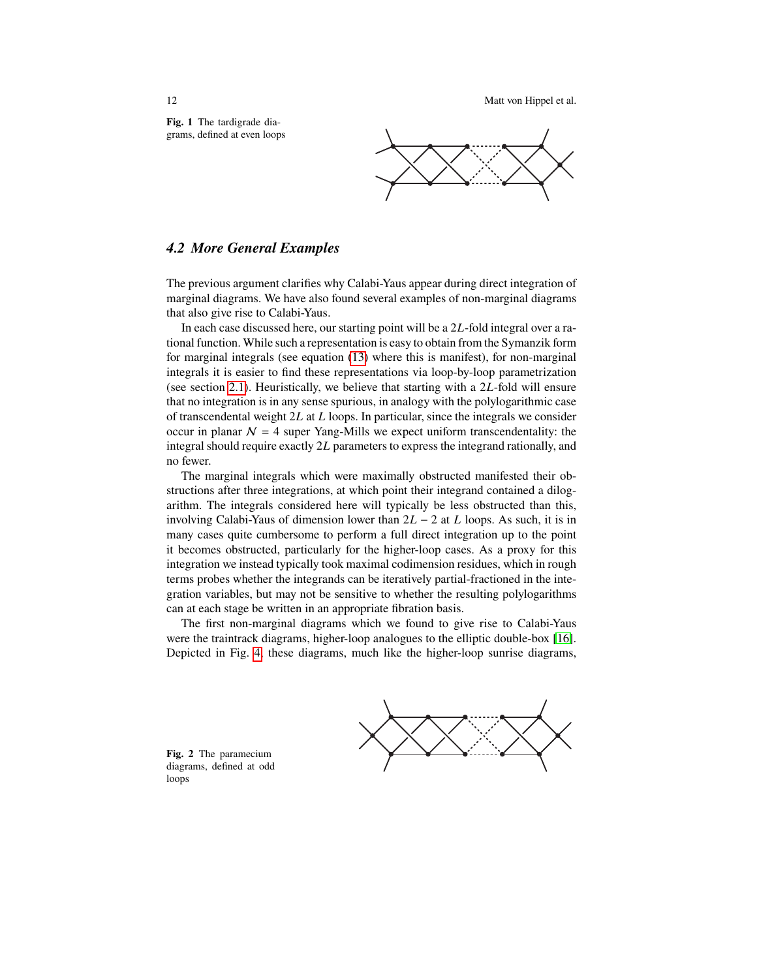12 Matt von Hippel et al.

<span id="page-11-0"></span>**Fig. 1** The tardigrade diagrams, defined at even loops



#### *4.2 More General Examples*

The previous argument clarifies why Calabi-Yaus appear during direct integration of marginal diagrams. We have also found several examples of non-marginal diagrams that also give rise to Calabi-Yaus.

In each case discussed here, our starting point will be a  $2L$ -fold integral over a rational function. While such a representation is easy to obtain from the Symanzik form for marginal integrals (see equation [\(13\)](#page-10-0) where this is manifest), for non-marginal integrals it is easier to find these representations via loop-by-loop parametrization (see section [2.1\)](#page-2-1). Heuristically, we believe that starting with a  $2L$ -fold will ensure that no integration is in any sense spurious, in analogy with the polylogarithmic case of transcendental weight  $2L$  at L loops. In particular, since the integrals we consider occur in planar  $N = 4$  super Yang-Mills we expect uniform transcendentality: the integral should require exactly  $2L$  parameters to express the integrand rationally, and no fewer.

The marginal integrals which were maximally obstructed manifested their obstructions after three integrations, at which point their integrand contained a dilogarithm. The integrals considered here will typically be less obstructed than this, involving Calabi-Yaus of dimension lower than  $2L - 2$  at  $L$  loops. As such, it is in many cases quite cumbersome to perform a full direct integration up to the point it becomes obstructed, particularly for the higher-loop cases. As a proxy for this integration we instead typically took maximal codimension residues, which in rough terms probes whether the integrands can be iteratively partial-fractioned in the integration variables, but may not be sensitive to whether the resulting polylogarithms can at each stage be written in an appropriate fibration basis.

The first non-marginal diagrams which we found to give rise to Calabi-Yaus were the traintrack diagrams, higher-loop analogues to the elliptic double-box [\[16\]](#page-13-15). Depicted in Fig. [4,](#page-12-1) these diagrams, much like the higher-loop sunrise diagrams,

<span id="page-11-1"></span>**Fig. 2** The paramecium diagrams, defined at odd loops

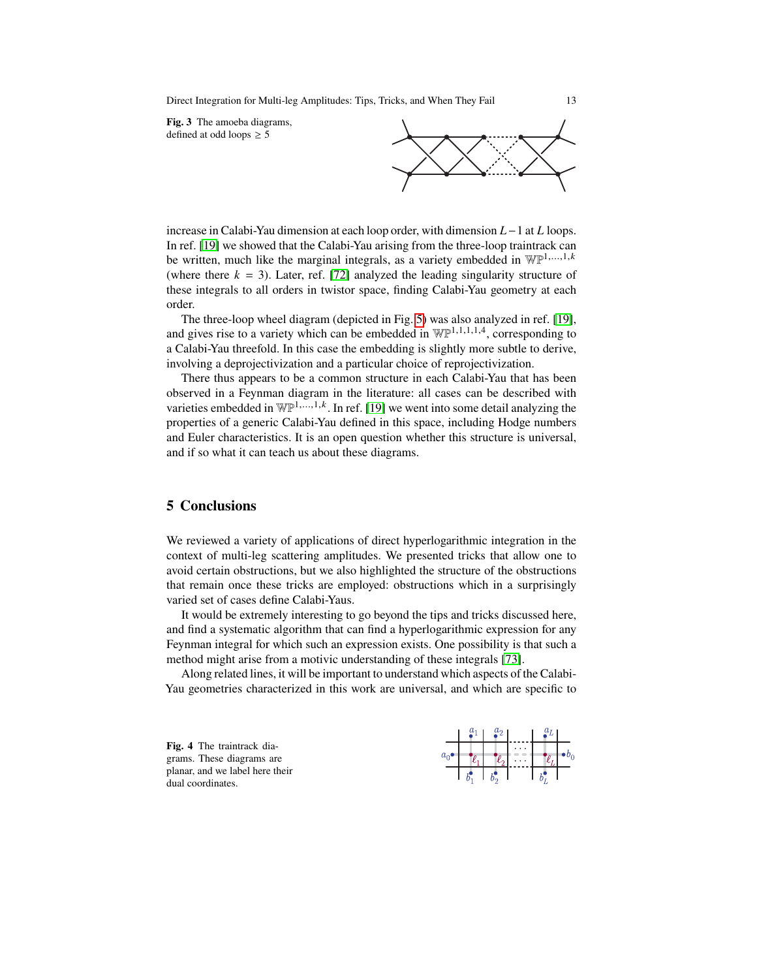Direct Integration for Multi-leg Amplitudes: Tips, Tricks, and When They Fail 13

<span id="page-12-0"></span>**Fig. 3** The amoeba diagrams, defined at odd loops  $\geq$  5



increase in Calabi-Yau dimension at each loop order, with dimension  $L-1$  at  $L$  loops. In ref. [\[19\]](#page-14-0) we showed that the Calabi-Yau arising from the three-loop traintrack can be written, much like the marginal integrals, as a variety embedded in  $\mathbb{WP}^{1,\ldots,1,k}$ (where there  $k = 3$ ). Later, ref. [\[72\]](#page-15-22) analyzed the leading singularity structure of these integrals to all orders in twistor space, finding Calabi-Yau geometry at each order.

The three-loop wheel diagram (depicted in Fig. [5\)](#page-13-18) was also analyzed in ref. [\[19\]](#page-14-0), and gives rise to a variety which can be embedded in  $\mathbb{WP}^{1,1,1,1,4}$ , corresponding to a Calabi-Yau threefold. In this case the embedding is slightly more subtle to derive, involving a deprojectivization and a particular choice of reprojectivization.

There thus appears to be a common structure in each Calabi-Yau that has been observed in a Feynman diagram in the literature: all cases can be described with varieties embedded in  $\mathbb{WP}^{1,\ldots,1,k}$ . In ref. [\[19\]](#page-14-0) we went into some detail analyzing the properties of a generic Calabi-Yau defined in this space, including Hodge numbers and Euler characteristics. It is an open question whether this structure is universal, and if so what it can teach us about these diagrams.

# **5 Conclusions**

We reviewed a variety of applications of direct hyperlogarithmic integration in the context of multi-leg scattering amplitudes. We presented tricks that allow one to avoid certain obstructions, but we also highlighted the structure of the obstructions that remain once these tricks are employed: obstructions which in a surprisingly varied set of cases define Calabi-Yaus.

It would be extremely interesting to go beyond the tips and tricks discussed here, and find a systematic algorithm that can find a hyperlogarithmic expression for any Feynman integral for which such an expression exists. One possibility is that such a method might arise from a motivic understanding of these integrals [\[73\]](#page-15-23).

Along related lines, it will be important to understand which aspects of the Calabi-Yau geometries characterized in this work are universal, and which are specific to

<span id="page-12-1"></span>**Fig. 4** The traintrack diagrams. These diagrams are planar, and we label here their dual coordinates.

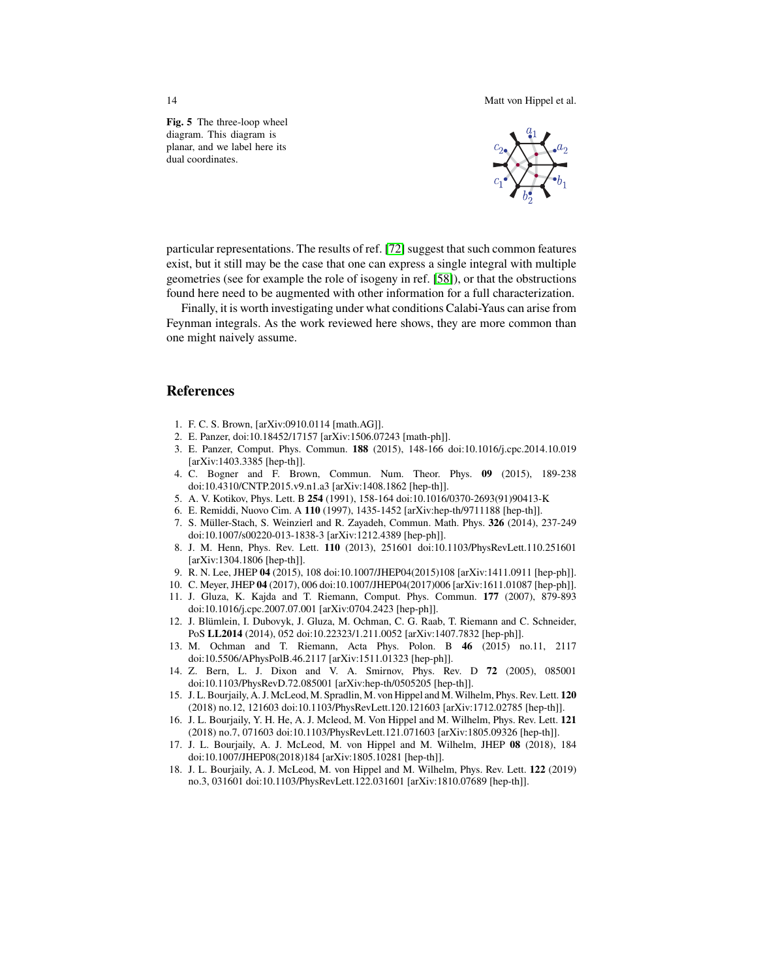14 Matt von Hippel et al.

<span id="page-13-18"></span>**Fig. 5** The three-loop wheel diagram. This diagram is planar, and we label here its dual coordinates.



particular representations. The results of ref. [\[72\]](#page-15-22) suggest that such common features exist, but it still may be the case that one can express a single integral with multiple geometries (see for example the role of isogeny in ref. [\[58\]](#page-15-8)), or that the obstructions found here need to be augmented with other information for a full characterization.

Finally, it is worth investigating under what conditions Calabi-Yaus can arise from Feynman integrals. As the work reviewed here shows, they are more common than one might naively assume.

#### **References**

- <span id="page-13-0"></span>1. F. C. S. Brown, [arXiv:0910.0114 [math.AG]].
- <span id="page-13-1"></span>2. E. Panzer, doi:10.18452/17157 [arXiv:1506.07243 [math-ph]].
- <span id="page-13-2"></span>3. E. Panzer, Comput. Phys. Commun. **188** (2015), 148-166 doi:10.1016/j.cpc.2014.10.019 [arXiv:1403.3385 [hep-th]].
- <span id="page-13-3"></span>4. C. Bogner and F. Brown, Commun. Num. Theor. Phys. **09** (2015), 189-238 doi:10.4310/CNTP.2015.v9.n1.a3 [arXiv:1408.1862 [hep-th]].
- <span id="page-13-4"></span>5. A. V. Kotikov, Phys. Lett. B **254** (1991), 158-164 doi:10.1016/0370-2693(91)90413-K
- <span id="page-13-5"></span>6. E. Remiddi, Nuovo Cim. A **110** (1997), 1435-1452 [arXiv:hep-th/9711188 [hep-th]].
- <span id="page-13-6"></span>7. S. Müller-Stach, S. Weinzierl and R. Zayadeh, Commun. Math. Phys. **326** (2014), 237-249 doi:10.1007/s00220-013-1838-3 [arXiv:1212.4389 [hep-ph]].
- <span id="page-13-7"></span>8. J. M. Henn, Phys. Rev. Lett. **110** (2013), 251601 doi:10.1103/PhysRevLett.110.251601 [arXiv:1304.1806 [hep-th]].
- <span id="page-13-8"></span>9. R. N. Lee, JHEP **04** (2015), 108 doi:10.1007/JHEP04(2015)108 [arXiv:1411.0911 [hep-ph]].
- <span id="page-13-9"></span>10. C. Meyer, JHEP **04** (2017), 006 doi:10.1007/JHEP04(2017)006 [arXiv:1611.01087 [hep-ph]].
- <span id="page-13-10"></span>11. J. Gluza, K. Kajda and T. Riemann, Comput. Phys. Commun. **177** (2007), 879-893 doi:10.1016/j.cpc.2007.07.001 [arXiv:0704.2423 [hep-ph]].
- <span id="page-13-11"></span>12. J. Blümlein, I. Dubovyk, J. Gluza, M. Ochman, C. G. Raab, T. Riemann and C. Schneider, PoS **LL2014** (2014), 052 doi:10.22323/1.211.0052 [arXiv:1407.7832 [hep-ph]].
- <span id="page-13-12"></span>13. M. Ochman and T. Riemann, Acta Phys. Polon. B **46** (2015) no.11, 2117 doi:10.5506/APhysPolB.46.2117 [arXiv:1511.01323 [hep-ph]].
- <span id="page-13-13"></span>14. Z. Bern, L. J. Dixon and V. A. Smirnov, Phys. Rev. D **72** (2005), 085001 doi:10.1103/PhysRevD.72.085001 [arXiv:hep-th/0505205 [hep-th]].
- <span id="page-13-14"></span>15. J. L. Bourjaily, A. J. McLeod, M. Spradlin, M. von Hippel and M. Wilhelm, Phys. Rev. Lett. **120** (2018) no.12, 121603 doi:10.1103/PhysRevLett.120.121603 [arXiv:1712.02785 [hep-th]].
- <span id="page-13-15"></span>16. J. L. Bourjaily, Y. H. He, A. J. Mcleod, M. Von Hippel and M. Wilhelm, Phys. Rev. Lett. **121** (2018) no.7, 071603 doi:10.1103/PhysRevLett.121.071603 [arXiv:1805.09326 [hep-th]].
- <span id="page-13-16"></span>17. J. L. Bourjaily, A. J. McLeod, M. von Hippel and M. Wilhelm, JHEP **08** (2018), 184 doi:10.1007/JHEP08(2018)184 [arXiv:1805.10281 [hep-th]].
- <span id="page-13-17"></span>18. J. L. Bourjaily, A. J. McLeod, M. von Hippel and M. Wilhelm, Phys. Rev. Lett. **122** (2019) no.3, 031601 doi:10.1103/PhysRevLett.122.031601 [arXiv:1810.07689 [hep-th]].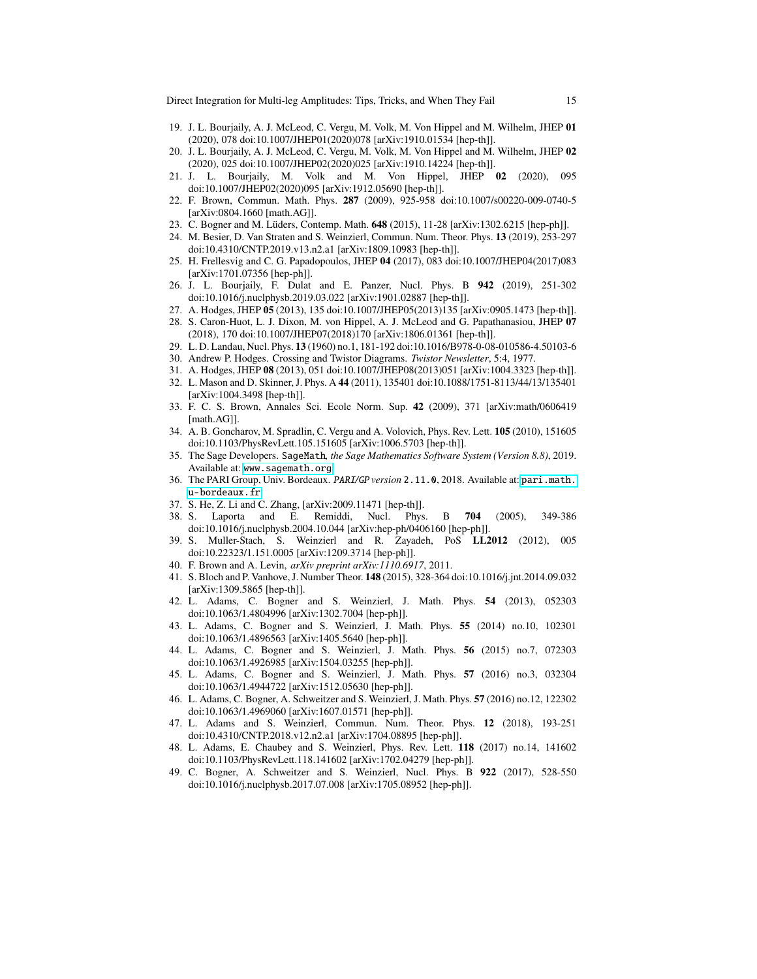- <span id="page-14-0"></span>19. J. L. Bourjaily, A. J. McLeod, C. Vergu, M. Volk, M. Von Hippel and M. Wilhelm, JHEP **01** (2020), 078 doi:10.1007/JHEP01(2020)078 [arXiv:1910.01534 [hep-th]].
- <span id="page-14-1"></span>20. J. L. Bourjaily, A. J. McLeod, C. Vergu, M. Volk, M. Von Hippel and M. Wilhelm, JHEP **02** (2020), 025 doi:10.1007/JHEP02(2020)025 [arXiv:1910.14224 [hep-th]].
- <span id="page-14-2"></span>21. J. L. Bourjaily, M. Volk and M. Von Hippel, JHEP **02** (2020), 095 doi:10.1007/JHEP02(2020)095 [arXiv:1912.05690 [hep-th]].
- <span id="page-14-3"></span>22. F. Brown, Commun. Math. Phys. **287** (2009), 925-958 doi:10.1007/s00220-009-0740-5 [arXiv:0804.1660 [math.AG]].
- <span id="page-14-4"></span>23. C. Bogner and M. Lüders, Contemp. Math. **648** (2015), 11-28 [arXiv:1302.6215 [hep-ph]].
- <span id="page-14-5"></span>24. M. Besier, D. Van Straten and S. Weinzierl, Commun. Num. Theor. Phys. **13** (2019), 253-297 doi:10.4310/CNTP.2019.v13.n2.a1 [arXiv:1809.10983 [hep-th]].
- <span id="page-14-6"></span>25. H. Frellesvig and C. G. Papadopoulos, JHEP **04** (2017), 083 doi:10.1007/JHEP04(2017)083 [arXiv:1701.07356 [hep-ph]].
- <span id="page-14-7"></span>26. J. L. Bourjaily, F. Dulat and E. Panzer, Nucl. Phys. B **942** (2019), 251-302 doi:10.1016/j.nuclphysb.2019.03.022 [arXiv:1901.02887 [hep-th]].
- <span id="page-14-8"></span>27. A. Hodges, JHEP **05** (2013), 135 doi:10.1007/JHEP05(2013)135 [arXiv:0905.1473 [hep-th]].
- <span id="page-14-9"></span>28. S. Caron-Huot, L. J. Dixon, M. von Hippel, A. J. McLeod and G. Papathanasiou, JHEP **07** (2018), 170 doi:10.1007/JHEP07(2018)170 [arXiv:1806.01361 [hep-th]].
- <span id="page-14-10"></span>29. L. D. Landau, Nucl. Phys. **13** (1960) no.1, 181-192 doi:10.1016/B978-0-08-010586-4.50103-6
- <span id="page-14-11"></span>30. Andrew P. Hodges. Crossing and Twistor Diagrams. *Twistor Newsletter*, 5:4, 1977.
- <span id="page-14-12"></span>31. A. Hodges, JHEP **08** (2013), 051 doi:10.1007/JHEP08(2013)051 [arXiv:1004.3323 [hep-th]].
- <span id="page-14-13"></span>32. L. Mason and D. Skinner, J. Phys. A **44** (2011), 135401 doi:10.1088/1751-8113/44/13/135401 [arXiv:1004.3498 [hep-th]].
- <span id="page-14-14"></span>33. F. C. S. Brown, Annales Sci. Ecole Norm. Sup. **42** (2009), 371 [arXiv:math/0606419 [math.AG]].
- <span id="page-14-15"></span>34. A. B. Goncharov, M. Spradlin, C. Vergu and A. Volovich, Phys. Rev. Lett. **105** (2010), 151605 doi:10.1103/PhysRevLett.105.151605 [arXiv:1006.5703 [hep-th]].
- <span id="page-14-16"></span>35. The Sage Developers. SageMath*, the Sage Mathematics Software System (Version 8.8)*, 2019. Available at: <www.sagemath.org>.
- <span id="page-14-17"></span>36. The PARI Group, Univ. Bordeaux. PARI*/*GP *version* 2.11.0, 2018. Available at: [pari.math.](pari.math.u-bordeaux.fr) [u-bordeaux.fr](pari.math.u-bordeaux.fr).
- <span id="page-14-18"></span>37. S. He, Z. Li and C. Zhang, [arXiv:2009.11471 [hep-th]].
- <span id="page-14-19"></span>38. S. Laporta and E. Remiddi, Nucl. Phys. B **704** (2005), 349-386 doi:10.1016/j.nuclphysb.2004.10.044 [arXiv:hep-ph/0406160 [hep-ph]].
- <span id="page-14-20"></span>39. S. Muller-Stach, S. Weinzierl and R. Zayadeh, PoS **LL2012** (2012), 005 doi:10.22323/1.151.0005 [arXiv:1209.3714 [hep-ph]].
- <span id="page-14-21"></span>40. F. Brown and A. Levin, *arXiv preprint arXiv:1110.6917*, 2011.
- <span id="page-14-22"></span>41. S. Bloch and P. Vanhove, J. Number Theor. **148** (2015), 328-364 doi:10.1016/j.jnt.2014.09.032 [arXiv:1309.5865 [hep-th]].
- <span id="page-14-23"></span>42. L. Adams, C. Bogner and S. Weinzierl, J. Math. Phys. **54** (2013), 052303 doi:10.1063/1.4804996 [arXiv:1302.7004 [hep-ph]].
- <span id="page-14-24"></span>43. L. Adams, C. Bogner and S. Weinzierl, J. Math. Phys. **55** (2014) no.10, 102301 doi:10.1063/1.4896563 [arXiv:1405.5640 [hep-ph]].
- <span id="page-14-25"></span>44. L. Adams, C. Bogner and S. Weinzierl, J. Math. Phys. **56** (2015) no.7, 072303 doi:10.1063/1.4926985 [arXiv:1504.03255 [hep-ph]].
- <span id="page-14-26"></span>45. L. Adams, C. Bogner and S. Weinzierl, J. Math. Phys. **57** (2016) no.3, 032304 doi:10.1063/1.4944722 [arXiv:1512.05630 [hep-ph]].
- <span id="page-14-27"></span>46. L. Adams, C. Bogner, A. Schweitzer and S. Weinzierl, J. Math. Phys. **57** (2016) no.12, 122302 doi:10.1063/1.4969060 [arXiv:1607.01571 [hep-ph]].
- <span id="page-14-28"></span>47. L. Adams and S. Weinzierl, Commun. Num. Theor. Phys. **12** (2018), 193-251 doi:10.4310/CNTP.2018.v12.n2.a1 [arXiv:1704.08895 [hep-ph]].
- <span id="page-14-29"></span>48. L. Adams, E. Chaubey and S. Weinzierl, Phys. Rev. Lett. **118** (2017) no.14, 141602 doi:10.1103/PhysRevLett.118.141602 [arXiv:1702.04279 [hep-ph]].
- <span id="page-14-30"></span>49. C. Bogner, A. Schweitzer and S. Weinzierl, Nucl. Phys. B **922** (2017), 528-550 doi:10.1016/j.nuclphysb.2017.07.008 [arXiv:1705.08952 [hep-ph]].